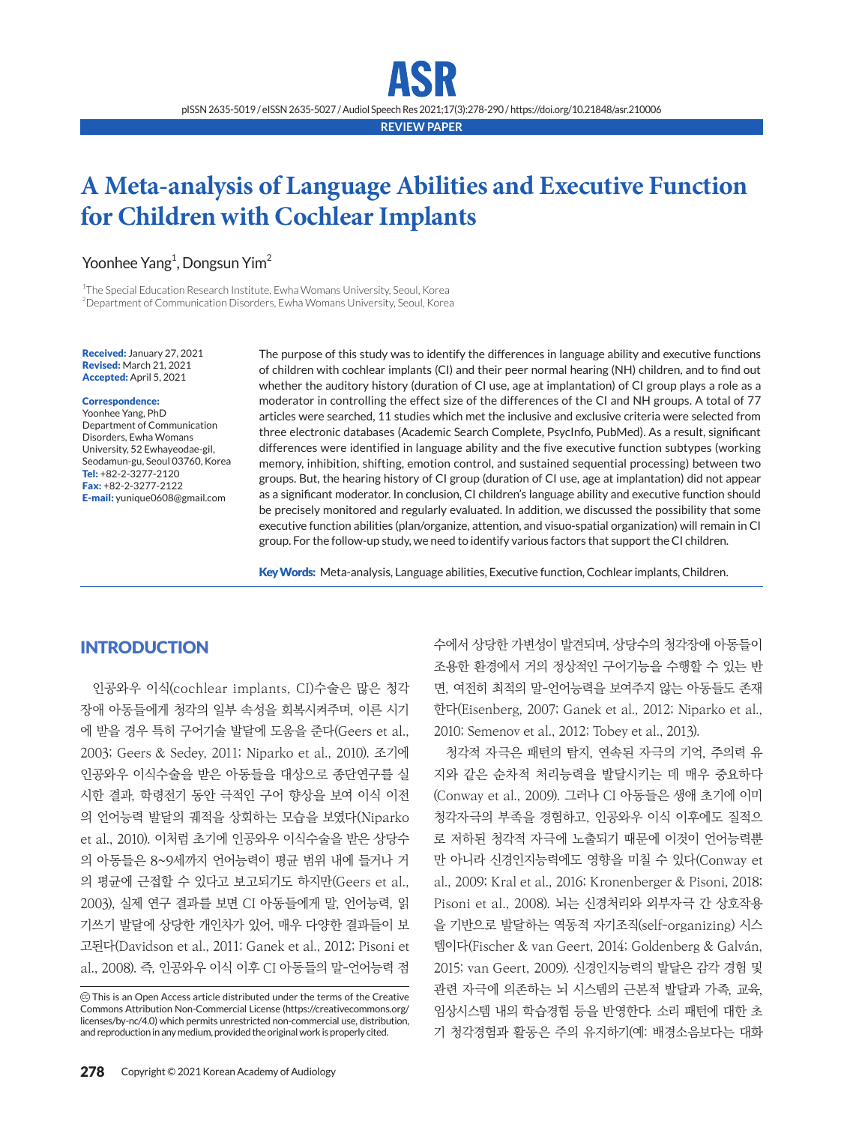pISSN 2635-5019 / eISSN 2635-5027 / Audiol Speech Res 2021;17(3):278-290 / https://doi.org/10.21848/asr.210006

**REVIEW PAPER**

# **A Meta-analysis of Language Abilities and Executive Function for Children with Cochlear Implants**

# Yoonhee Yang<sup>1</sup>, Dongsun Yim<sup>2</sup>

<sup>1</sup>The Special Education Research Institute, Ewha Womans University, Seoul, Korea  $^{2}$ Department of Communication Disorders, Ewha Womans University, Seoul, Korea

Received: January 27, 2021 Revised: March 21, 2021 Accepted: April 5, 2021

#### Correspondence:

Yoonhee Yang, PhD Department of Communication Disorders, Ewha Womans University, 52 Ewhayeodae-gil, Seodamun-gu, Seoul 03760, Korea Tel: +82-2-3277-2120 Fax: +82-2-3277-2122 E-mail: yunique0608@gmail.com

The purpose of this study was to identify the differences in language ability and executive functions of children with cochlear implants (CI) and their peer normal hearing (NH) children, and to find out whether the auditory history (duration of CI use, age at implantation) of CI group plays a role as a moderator in controlling the effect size of the differences of the CI and NH groups. A total of 77 articles were searched, 11 studies which met the inclusive and exclusive criteria were selected from three electronic databases (Academic Search Complete, PsycInfo, PubMed). As a result, significant differences were identified in language ability and the five executive function subtypes (working memory, inhibition, shifting, emotion control, and sustained sequential processing) between two groups. But, the hearing history of CI group (duration of CI use, age at implantation) did not appear as a significant moderator. In conclusion, CI children's language ability and executive function should be precisely monitored and regularly evaluated. In addition, we discussed the possibility that some executive function abilities (plan/organize, attention, and visuo-spatial organization) will remain in CI group. For the follow-up study, we need to identify various factors that support the CI children.

Key Words: Meta-analysis, Language abilities, Executive function, Cochlear implants, Children.

# **INTRODUCTION**

인공와우 이식(cochlear implants, CI)수술은 많은 청각 장애 아동들에게 청각의 일부 속성을 회복시켜주며, 이른 시기 에 받을 경우 특히 구어기술 발달에 도움을 준다(Geers et al., 2003; Geers & Sedey, 2011; Niparko et al., 2010). 조기에 인공와우 이식수술을 받은 아동들을 대상으로 종단연구를 실 시한 결과, 학령전기 동안 극적인 구어 향상을 보여 이식 이전 의 언어능력 발달의 궤적을 상회하는 모습을 보였다(Niparko et al., 2010). 이처럼 초기에 인공와우 이식수술을 받은 상당수 의 아동들은 8~9세까지 언어능력이 평균 범위 내에 들거나 거 의 평균에 근접할 수 있다고 보고되기도 하지만(Geers et al., 2003), 실제 연구 결과를 보면 CI 아동들에게 말, 언어능력, 읽 기쓰기 발달에 상당한 개인차가 있어, 매우 다양한 결과들이 보 고된다(Davidson et al., 2011; Ganek et al., 2012; Pisoni et al., 2008). 즉, 인공와우 이식 이후 CI 아동들의 말-언어능력 점 수에서 상당한 가변성이 발견되며, 상당수의 청각장애 아동들이 조용한 환경에서 거의 정상적인 구어기능을 수행할 수 있는 반 면, 여전히 최적의 말-언어능력을 보여주지 않는 아동들도 존재 한다(Eisenberg, 2007; Ganek et al., 2012; Niparko et al., 2010; Semenov et al., 2012; Tobey et al., 2013).

청각적 자극은 패턴의 탐지, 연속된 자극의 기억, 주의력 유 지와 같은 순차적 처리능력을 발달시키는 데 매우 중요하다 (Conway et al., 2009). 그러나 CI 아동들은 생애 초기에 이미 청각자극의 부족을 경험하고, 인공와우 이식 이후에도 질적으 로 저하된 청각적 자극에 노출되기 때문에 이것이 언어능력뿐 만 아니라 신경인지능력에도 영향을 미칠 수 있다(Conway et al., 2009; Kral et al., 2016; Kronenberger & Pisoni, 2018; Pisoni et al., 2008). 뇌는 신경처리와 외부자극 간 상호작용 을 기반으로 발달하는 역동적 자기조직(self-organizing) 시스 템이다(Fischer & van Geert, 2014; Goldenberg & Galván, 2015; van Geert, 2009). 신경인지능력의 발달은 감각 경험 및 관련 자극에 의존하는 뇌 시스템의 근본적 발달과 가족, 교육, 임상시스템 내의 학습경험 등을 반영한다. 소리 패턴에 대한 초 기 청각경험과 활동은 주의 유지하기(예: 배경소음보다는 대화

CC This is an Open Access article distributed under the terms of the Creative Commons Attribution Non-Commercial License (https://creativecommons.org/ licenses/by-nc/4.0) which permits unrestricted non-commercial use, distribution, and reproduction in any medium, provided the original work is properly cited.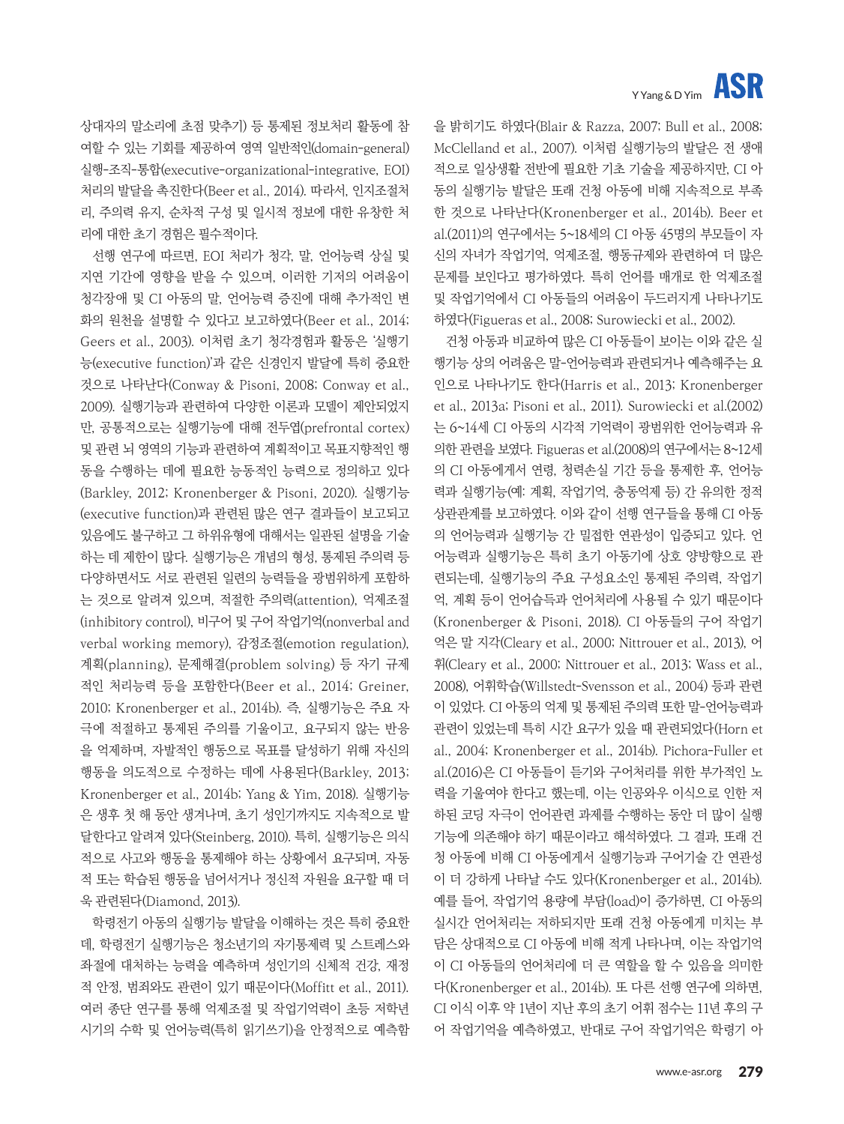# **ASR** Y Yang & D Yim

을 밝히기도 하였다(Blair & Razza, 2007; Bull et al., 2008; McClelland et al., 2007). 이처럼 실행기능의 발달은 전 생애 적으로 일상생활 전반에 필요한 기초 기술을 제공하지만, CI 아 동의 실행기능 발달은 또래 건청 아동에 비해 지속적으로 부족 한 것으로 나타난다(Kronenberger et al., 2014b). Beer et al.(2011)의 연구에서는 5~18세의 CI 아동 45명의 부모들이 자 신의 자녀가 작업기억, 억제조절, 행동규제와 관련하여 더 많은 문제를 보인다고 평가하였다. 특히 언어를 매개로 한 억제조절 및 작업기억에서 CI 아동들의 어려움이 두드러지게 나타나기도 하였다(Figueras et al., 2008; Surowiecki et al., 2002).

건청 아동과 비교하여 많은 CI 아동들이 보이는 이와 같은 실 행기능 상의 어려움은 말-언어능력과 관련되거나 예측해주는 요 인으로 나타나기도 한다(Harris et al., 2013; Kronenberger et al., 2013a; Pisoni et al., 2011). Surowiecki et al.(2002) 는 6~14세 CI 아동의 시각적 기억력이 광범위한 언어능력과 유 의한 관련을 보였다. Figueras et al.(2008)의 연구에서는 8~12세 의 CI 아동에게서 연령, 청력손실 기간 등을 통제한 후, 언어능 력과 실행기능(예: 계획, 작업기억, 충동억제 등) 간 유의한 정적 상관관계를 보고하였다. 이와 같이 선행 연구들을 통해 CI 아동 의 언어능력과 실행기능 간 밀접한 연관성이 입증되고 있다. 언 어능력과 실행기능은 특히 초기 아동기에 상호 양방향으로 관 련되는데, 실행기능의 주요 구성요소인 통제된 주의력, 작업기 억, 계획 등이 언어습득과 언어처리에 사용될 수 있기 때문이다 (Kronenberger & Pisoni, 2018). CI 아동들의 구어 작업기 억은 말 지각(Cleary et al., 2000; Nittrouer et al., 2013), 어 휘(Cleary et al., 2000; Nittrouer et al., 2013; Wass et al., 2008), 어휘학습(Willstedt-Svensson et al., 2004) 등과 관련 이 있었다. CI 아동의 억제 및 통제된 주의력 또한 말-언어능력과 관련이 있었는데 특히 시간 요구가 있을 때 관련되었다(Horn et al., 2004; Kronenberger et al., 2014b). Pichora-Fuller et al.(2016)은 CI 아동들이 듣기와 구어처리를 위한 부가적인 노 력을 기울여야 한다고 했는데, 이는 인공와우 이식으로 인한 저 하된 코딩 자극이 언어관련 과제를 수행하는 동안 더 많이 실행 기능에 의존해야 하기 때문이라고 해석하였다. 그 결과, 또래 건 청 아동에 비해 CI 아동에게서 실행기능과 구어기술 간 연관성 이 더 강하게 나타날 수도 있다(Kronenberger et al., 2014b). 예를 들어, 작업기억 용량에 부담(load)이 증가하면, CI 아동의 실시간 언어처리는 저하되지만 또래 건청 아동에게 미치는 부 담은 상대적으로 CI 아동에 비해 적게 나타나며, 이는 작업기억 이 CI 아동들의 언어처리에 더 큰 역할을 할 수 있음을 의미한 다(Kronenberger et al., 2014b). 또 다른 선행 연구에 의하면, CI 이식 이후 약 1년이 지난 후의 초기 어휘 점수는 11년 후의 구 어 작업기억을 예측하였고, 반대로 구어 작업기억은 학령기 아

상대자의 말소리에 초점 맞추기) 등 통제된 정보처리 활동에 참 여할 수 있는 기회를 제공하여 영역 일반적인(domain-general) 실행-조직-통합(executive-organizational-integrative, EOI) 처리의 발달을 촉진한다(Beer et al., 2014). 따라서, 인지조절처 리, 주의력 유지, 순차적 구성 및 일시적 정보에 대한 유창한 처 리에 대한 초기 경험은 필수적이다.

선행 연구에 따르면, EOI 처리가 청각, 말, 언어능력 상실 및 지연 기간에 영향을 받을 수 있으며, 이러한 기저의 어려움이 청각장애 및 CI 아동의 말, 언어능력 증진에 대해 추가적인 변 화의 원천을 설명할 수 있다고 보고하였다(Beer et al., 2014; Geers et al., 2003). 이처럼 초기 청각경험과 활동은 '실행기 능(executive function)'과 같은 신경인지 발달에 특히 중요한 것으로 나타난다(Conway & Pisoni, 2008; Conway et al., 2009). 실행기능과 관련하여 다양한 이론과 모델이 제안되었지 만, 공통적으로는 실행기능에 대해 전두엽(prefrontal cortex) 및 관련 뇌 영역의 기능과 관련하여 계획적이고 목표지향적인 행 동을 수행하는 데에 필요한 능동적인 능력으로 정의하고 있다 (Barkley, 2012; Kronenberger & Pisoni, 2020). 실행기능 (executive function)과 관련된 많은 연구 결과들이 보고되고 있음에도 불구하고 그 하위유형에 대해서는 일관된 설명을 기술 하는 데 제한이 많다. 실행기능은 개념의 형성, 통제된 주의력 등 다양하면서도 서로 관련된 일련의 능력들을 광범위하게 포함하 는 것으로 알려져 있으며, 적절한 주의력(attention), 억제조절 (inhibitory control), 비구어 및 구어 작업기억(nonverbal and verbal working memory), 감정조절(emotion regulation), 계획(planning), 문제해결(problem solving) 등 자기 규제 적인 처리능력 등을 포함한다(Beer et al., 2014; Greiner, 2010; Kronenberger et al., 2014b). 즉, 실행기능은 주요 자 극에 적절하고 통제된 주의를 기울이고, 요구되지 않는 반응 을 억제하며, 자발적인 행동으로 목표를 달성하기 위해 자신의 행동을 의도적으로 수정하는 데에 사용된다(Barkley, 2013; Kronenberger et al., 2014b; Yang & Yim, 2018). 실행기능 은 생후 첫 해 동안 생겨나며, 초기 성인기까지도 지속적으로 발 달한다고 알려져 있다(Steinberg, 2010). 특히, 실행기능은 의식 적으로 사고와 행동을 통제해야 하는 상황에서 요구되며, 자동 적 또는 학습된 행동을 넘어서거나 정신적 자원을 요구할 때 더 욱 관련된다(Diamond, 2013).

학령전기 아동의 실행기능 발달을 이해하는 것은 특히 중요한 데, 학령전기 실행기능은 청소년기의 자기통제력 및 스트레스와 좌절에 대처하는 능력을 예측하며 성인기의 신체적 건강, 재정 적 안정, 범죄와도 관련이 있기 때문이다(Moffitt et al., 2011). 여러 종단 연구를 통해 억제조절 및 작업기억력이 초등 저학년 시기의 수학 및 언어능력(특히 읽기쓰기)을 안정적으로 예측함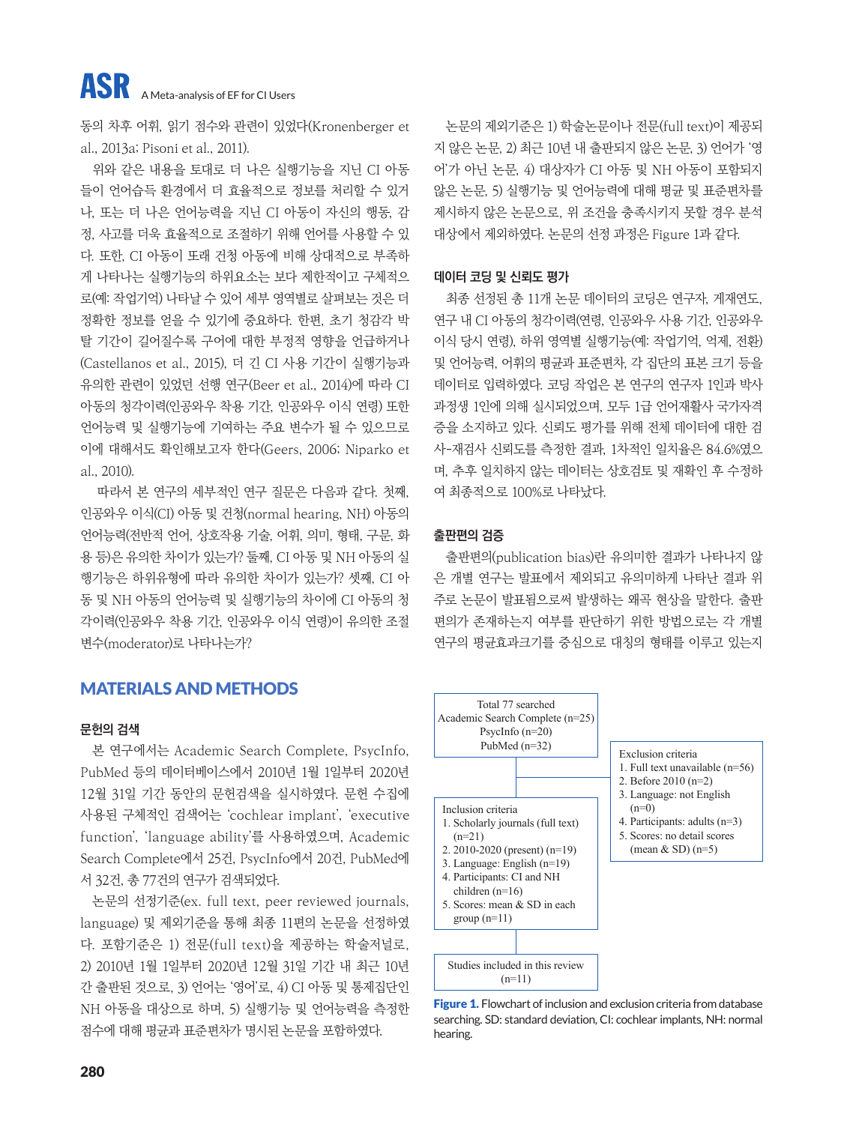동의 차후 어휘, 읽기 점수와 관련이 있었다(Kronenberger et al., 2013a; Pisoni et al., 2011).

위와 같은 내용을 토대로 더 나은 실행기능을 지닌 CI 아동 들이 언어습득 환경에서 더 효율적으로 정보를 처리할 수 있거 나, 또는 더 나은 언어능력을 지닌 CI 아동이 자신의 행동, 감 정, 사고를 더욱 효율적으로 조절하기 위해 언어를 사용할 수 있 다. 또한, CI 아동이 또래 건청 아동에 비해 상대적으로 부족하 게 나타나는 실행기능의 하위요소는 보다 제한적이고 구체적으 로(예: 작업기억) 나타날 수 있어 세부 영역별로 살펴보는 것은 더 정확한 정보를 얻을 수 있기에 중요하다. 한편, 초기 청감각 박 탈 기간이 길어질수록 구어에 대한 부정적 영향을 언급하거나 (Castellanos et al., 2015), 더 긴 CI 사용 기간이 실행기능과 유의한 관련이 있었던 선행 연구(Beer et al., 2014)에 따라 CI 아동의 청각이력(인공와우 착용 기간, 인공와우 이식 연령) 또한 언어능력 및 실행기능에 기여하는 주요 변수가 될 수 있으므로 이에 대해서도 확인해보고자 한다(Geers, 2006; Niparko et al., 2010).

 따라서 본 연구의 세부적인 연구 질문은 다음과 같다. 첫째, 인공와우 이식(CI) 아동 및 건청(normal hearing, NH) 아동의 언어능력(전반적 언어, 상호작용 기술, 어휘, 의미, 형태, 구문, 화 용 등)은 유의한 차이가 있는가? 둘째, CI 아동 및 NH 아동의 실 행기능은 하위유형에 따라 유의한 차이가 있는가? 셋째, CI 아 동 및 NH 아동의 언어능력 및 실행기능의 차이에 CI 아동의 청 각이력(인공와우 착용 기간, 인공와우 이식 연령)이 유의한 조절 변수(moderator)로 나타나는가?

# MATERIALS AND METHODS

## **문헌의 검색**

본 연구에서는 Academic Search Complete, PsycInfo, PubMed 등의 데이터베이스에서 2010년 1월 1일부터 2020년 12월 31일 기간 동안의 문헌검색을 실시하였다. 문헌 수집에 사용된 구체적인 검색어는 'cochlear implant', 'executive function', 'language ability'를 사용하였으며, Academic Search Complete에서 25건, PsycInfo에서 20건, PubMed에 서 32건, 총 77건의 연구가 검색되었다.

논문의 선정기준(ex. full text, peer reviewed journals, language) 및 제외기준을 통해 최종 11편의 논문을 선정하였 다. 포함기준은 1) 전문(full text)을 제공하는 학술저널로, 2) 2010년 1월 1일부터 2020년 12월 31일 기간 내 최근 10년 간 출판된 것으로, 3) 언어는 '영어'로, 4) CI 아동 및 통제집단인 NH 아동을 대상으로 하며, 5) 실행기능 및 언어능력을 측정한 점수에 대해 평균과 표준편차가 명시된 논문을 포함하였다.

논문의 제외기준은 1) 학술논문이나 전문(full text)이 제공되 지 않은 논문, 2) 최근 10년 내 출판되지 않은 논문, 3) 언어가 '영 어'가 아닌 논문, 4) 대상자가 CI 아동 및 NH 아동이 포함되지 않은 논문, 5) 실행기능 및 언어능력에 대해 평균 및 표준편차를 제시하지 않은 논문으로, 위 조건을 충족시키지 못할 경우 분석 대상에서 제외하였다. 논문의 선정 과정은 Figure 1과 같다.

#### **데이터 코딩 및 신뢰도 평가**

최종 선정된 총 11개 논문 데이터의 코딩은 연구자, 게재연도, 연구 내 CI 아동의 청각이력(연령, 인공와우 사용 기간, 인공와우 이식 당시 연령), 하위 영역별 실행기능(예: 작업기억, 억제, 전환) 및 언어능력, 어휘의 평균과 표준편차, 각 집단의 표본 크기 등을 데이터로 입력하였다. 코딩 작업은 본 연구의 연구자 1인과 박사 과정생 1인에 의해 실시되었으며, 모두 1급 언어재활사 국가자격 증을 소지하고 있다. 신뢰도 평가를 위해 전체 데이터에 대한 검 사-재검사 신뢰도를 측정한 결과, 1차적인 일치율은 84.6%였으 며, 추후 일치하지 않는 데이터는 상호검토 및 재확인 후 수정하 여 최종적으로 100%로 나타났다.

#### **출판편의 검증**

출판편의(publication bias)란 유의미한 결과가 나타나지 않 은 개별 연구는 발표에서 제외되고 유의미하게 나타난 결과 위 주로 논문이 발표됨으로써 발생하는 왜곡 현상을 말한다. 출판 편의가 존재하는지 여부를 판단하기 위한 방법으로는 각 개별 연구의 평균효과크기를 중심으로 대칭의 형태를 이루고 있는지



Figure 1. Flowchart of inclusion and exclusion criteria from database searching. SD: standard deviation, CI: cochlear implants, NH: normal hearing.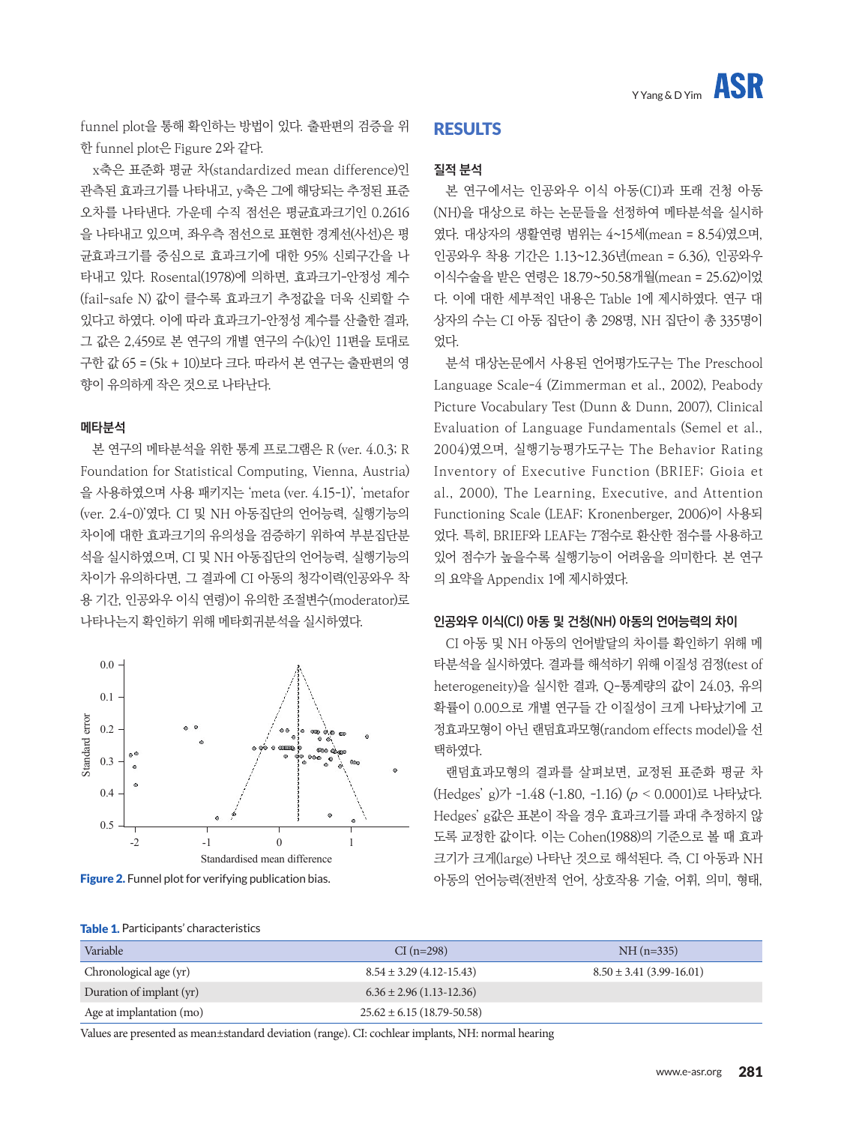funnel plot을 통해 확인하는 방법이 있다. 출판편의 검증을 위 한 funnel plot은 Figure 2와 같다.

x축은 표준화 평균 차(standardized mean difference)인 관측된 효과크기를 나타내고, y축은 그에 해당되는 추정된 표준 오차를 나타낸다. 가운데 수직 점선은 평균효과크기인 0.2616 을 나타내고 있으며, 좌우측 점선으로 표현한 경계선(사선)은 평 균효과크기를 중심으로 효과크기에 대한 95% 신뢰구간을 나 타내고 있다. Rosental(1978)에 의하면, 효과크기-안정성 계수 (fail-safe N) 값이 클수록 효과크기 추정값을 더욱 신뢰할 수 있다고 하였다. 이에 따라 효과크기-안정성 계수를 산출한 결과, 그 값은 2,459로 본 연구의 개별 연구의 수(k)인 11편을 토대로 구한 값 65 = (5k + 10)보다 크다. 따라서 본 연구는 출판편의 영 향이 유의하게 작은 것으로 나타난다.

#### **메타분석**

본 연구의 메타분석을 위한 통계 프로그램은 R (ver. 4.0.3; R Foundation for Statistical Computing, Vienna, Austria) 을 사용하였으며 사용 패키지는 'meta (ver. 4.15-1)', 'metafor (ver. 2.4-0)'였다. CI 및 NH 아동집단의 언어능력, 실행기능의 차이에 대한 효과크기의 유의성을 검증하기 위하여 부분집단분 석을 실시하였으며, CI 및 NH 아동집단의 언어능력, 실행기능의 차이가 유의하다면, 그 결과에 CI 아동의 청각이력(인공와우 착 용 기간, 인공와우 이식 연령)이 유의한 조절변수(moderator)로 나타나는지 확인하기 위해 메타회귀분석을 실시하였다.



# RESULTS

### **질적 분석**

본 연구에서는 인공와우 이식 아동(CI)과 또래 건청 아동 (NH)을 대상으로 하는 논문들을 선정하여 메타분석을 실시하 였다. 대상자의 생활연령 범위는 4~15세(mean = 8.54)였으며, 인공와우 착용 기간은 1.13~12.36년(mean = 6.36), 인공와우 이식수술을 받은 연령은 18.79~50.58개월(mean = 25.62)이었 다. 이에 대한 세부적인 내용은 Table 1에 제시하였다. 연구 대 상자의 수는 CI 아동 집단이 총 298명, NH 집단이 총 335명이 었다.

분석 대상논문에서 사용된 언어평가도구는 The Preschool Language Scale-4 (Zimmerman et al., 2002), Peabody Picture Vocabulary Test (Dunn & Dunn, 2007), Clinical Evaluation of Language Fundamentals (Semel et al., 2004)였으며, 실행기능평가도구는 The Behavior Rating Inventory of Executive Function (BRIEF; Gioia et al., 2000), The Learning, Executive, and Attention Functioning Scale (LEAF; Kronenberger, 2006)이 사용되 었다. 특히, BRIEF와 LEAF는 T점수로 환산한 점수를 사용하고 있어 점수가 높을수록 실행기능이 어려움을 의미한다. 본 연구 의 요약을 Appendix 1에 제시하였다.

#### **인공와우 이식(CI) 아동 및 건청(NH) 아동의 언어능력의 차이**

CI 아동 및 NH 아동의 언어발달의 차이를 확인하기 위해 메 타분석을 실시하였다. 결과를 해석하기 위해 이질성 검정(test of heterogeneity)을 실시한 결과, Q-통계량의 값이 24.03, 유의 확률이 0.00으로 개별 연구들 간 이질성이 크게 나타났기에 고 정효과모형이 아닌 랜덤효과모형(random effects model)을 선 택하였다.

랜덤효과모형의 결과를 살펴보면, 교정된 표준화 평균 차 (Hedges' g)가 -1.48 (-1.80, -1.16) (p < 0.0001)로 나타났다. Hedges' g값은 표본이 작을 경우 효과크기를 과대 추정하지 않 도록 교정한 값이다. 이는 Cohen(1988)의 기준으로 볼 때 효과 크기가 크게(large) 나타난 것으로 해석된다. 즉, CI 아동과 NH 아동의 언어능력(전반적 언어, 상호작용 기술, 어휘, 의미, 형태,

| Variable                 | $CI(n=298)$                     | $NH(n=335)$                    |
|--------------------------|---------------------------------|--------------------------------|
| Chronological age (yr)   | $8.54 \pm 3.29$ (4.12-15.43)    | $8.50 \pm 3.41 (3.99 - 16.01)$ |
| Duration of implant (yr) | $6.36 \pm 2.96$ (1.13-12.36)    |                                |
| Age at implantation (mo) | $25.62 \pm 6.15(18.79 - 50.58)$ |                                |

Table 1. Participants' characteristics

Values are presented as mean±standard deviation (range). CI: cochlear implants, NH: normal hearing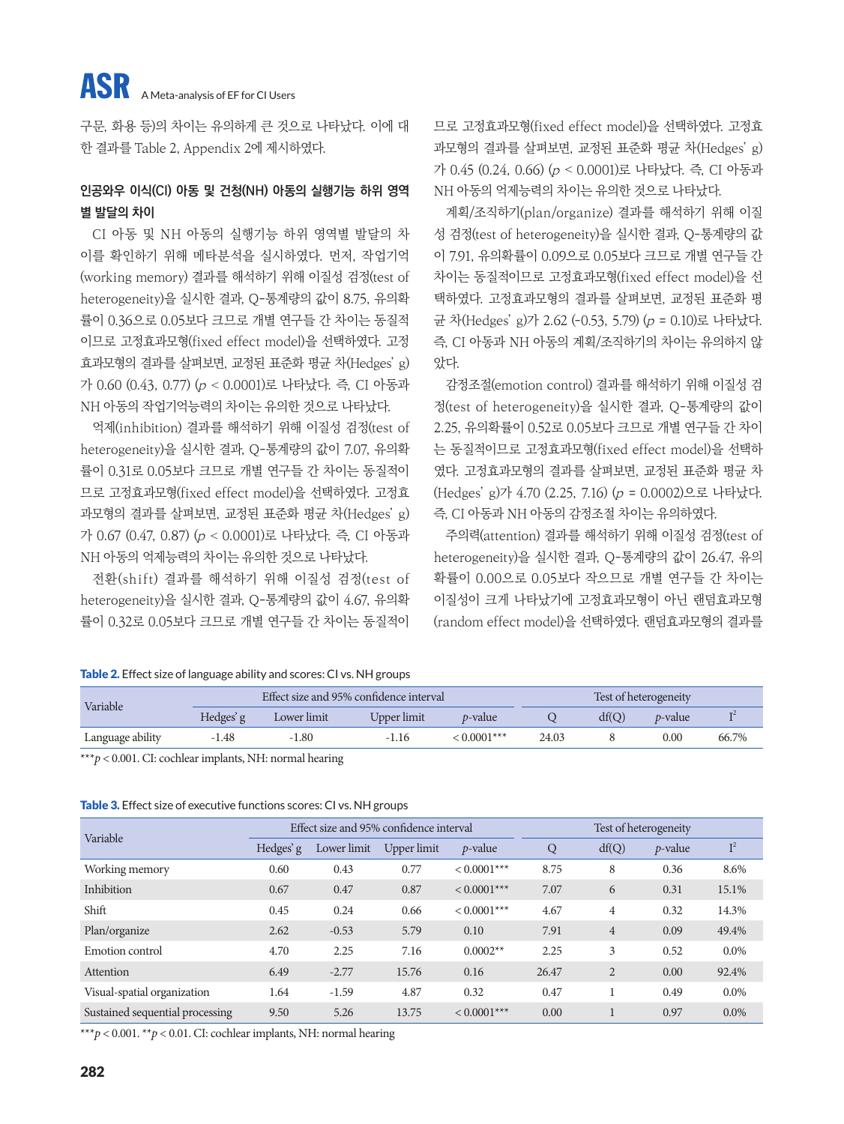구문, 화용 등)의 차이는 유의하게 큰 것으로 나타났다. 이에 대 한 결과를 Table 2, Appendix 2에 제시하였다.

# **인공와우 이식(CI) 아동 및 건청(NH) 아동의 실행기능 하위 영역 별 발달의 차이**

CI 아동 및 NH 아동의 실행기능 하위 영역별 발달의 차 이를 확인하기 위해 메타분석을 실시하였다. 먼저, 작업기억 (working memory) 결과를 해석하기 위해 이질성 검정(test of heterogeneity)을 실시한 결과, Q-통계량의 값이 8.75, 유의확 률이 0.36으로 0.05보다 크므로 개별 연구들 간 차이는 동질적 이므로 고정효과모형(fixed effect model)을 선택하였다. 고정 효과모형의 결과를 살펴보면, 교정된 표준화 평균 차(Hedges' g) 가 0.60 (0.43, 0.77) (p < 0.0001)로 나타났다. 즉, CI 아동과 NH 아동의 작업기억능력의 차이는 유의한 것으로 나타났다.

억제(inhibition) 결과를 해석하기 위해 이질성 검정(test of heterogeneity)을 실시한 결과, Q-통계량의 값이 7.07, 유의확 률이 0.31로 0.05보다 크므로 개별 연구들 간 차이는 동질적이 므로 고정효과모형(fixed effect model)을 선택하였다. 고정효 과모형의 결과를 살펴보면, 교정된 표준화 평균 차(Hedges' g) 가 0.67 (0.47, 0.87) (p < 0.0001)로 나타났다. 즉, CI 아동과 NH 아동의 억제능력의 차이는 유의한 것으로 나타났다.

전환(shift) 결과를 해석하기 위해 이질성 검정(test of heterogeneity)을 실시한 결과, Q-통계량의 값이 4.67, 유의확 률이 0.32로 0.05보다 크므로 개별 연구들 간 차이는 동질적이 므로 고정효과모형(fixed effect model)을 선택하였다. 고정효 과모형의 결과를 살펴보면, 교정된 표준화 평균 차(Hedges' g) 가 0.45 (0.24, 0.66) (p < 0.0001)로 나타났다. 즉, CI 아동과 NH 아동의 억제능력의 차이는 유의한 것으로 나타났다.

계획/조직하기(plan/organize) 결과를 해석하기 위해 이질 성 검정(test of heterogeneity)을 실시한 결과, Q-통계량의 값 이 7.91, 유의확률이 0.09으로 0.05보다 크므로 개별 연구들 간 차이는 동질적이므로 고정효과모형(fixed effect model)을 선 택하였다. 고정효과모형의 결과를 살펴보면, 교정된 표준화 평 균 차(Hedges' g)가 2.62 (-0.53, 5.79) (p = 0.10)로 나타났다. 즉, CI 아동과 NH 아동의 계획/조직하기의 차이는 유의하지 않 았다.

감정조절(emotion control) 결과를 해석하기 위해 이질성 검 정(test of heterogeneity)을 실시한 결과, Q-통계량의 값이 2.25, 유의확률이 0.52로 0.05보다 크므로 개별 연구들 간 차이 는 동질적이므로 고정효과모형(fixed effect model)을 선택하 였다. 고정효과모형의 결과를 살펴보면, 교정된 표준화 평균 차 (Hedges' g)가 4.70 (2.25, 7.16) (p = 0.0002)으로 나타났다. 즉, CI 아동과 NH 아동의 감정조절 차이는 유의하였다.

주의력(attention) 결과를 해석하기 위해 이질성 검정(test of heterogeneity)을 실시한 결과, Q-통계량의 값이 26.47, 유의 확률이 0.00으로 0.05보다 작으므로 개별 연구들 간 차이는 이질성이 크게 나타났기에 고정효과모형이 아닌 랜덤효과모형 (random effect model)을 선택하였다. 랜덤효과모형의 결과를

#### Table 2. Effect size of language ability and scores: CI vs. NH groups

| Variable         |           |             | Effect size and 95% confidence interval |                 |       |       | Test of heterogeneity |       |
|------------------|-----------|-------------|-----------------------------------------|-----------------|-------|-------|-----------------------|-------|
|                  | Hedges' g | Lower limit | Upper limit                             | <i>p</i> -value |       | df(O) | <i>p</i> -value       |       |
| Language ability | $-1.48$   | $-1.80$     | $-1.16$                                 | $< 0.0001$ ***  | 24.03 |       | $0.00\,$              | 66.7% |

\*\*\**p* < 0.001. CI: cochlear implants, NH: normal hearing

#### Table 3. Effect size of executive functions scores: CI vs. NH groups

| Variable                        |           | Effect size and 95% confidence interval |             |                |       |                | Test of heterogeneity |         |
|---------------------------------|-----------|-----------------------------------------|-------------|----------------|-------|----------------|-----------------------|---------|
|                                 | Hedges' g | Lower limit                             | Upper limit | $p$ -value     | Q     | df(Q)          | $p$ -value            | $I^2$   |
| Working memory                  | 0.60      | 0.43                                    | 0.77        | $< 0.0001***$  | 8.75  | 8              | 0.36                  | 8.6%    |
| Inhibition                      | 0.67      | 0.47                                    | 0.87        | $< 0.0001$ *** | 7.07  | 6              | 0.31                  | 15.1%   |
| Shift                           | 0.45      | 0.24                                    | 0.66        | $< 0.0001***$  | 4.67  | $\overline{4}$ | 0.32                  | 14.3%   |
| Plan/organize                   | 2.62      | $-0.53$                                 | 5.79        | 0.10           | 7.91  | $\overline{4}$ | 0.09                  | 49.4%   |
| Emotion control                 | 4.70      | 2.25                                    | 7.16        | $0.0002**$     | 2.25  | 3              | 0.52                  | $0.0\%$ |
| Attention                       | 6.49      | $-2.77$                                 | 15.76       | 0.16           | 26.47 | $\overline{2}$ | 0.00                  | 92.4%   |
| Visual-spatial organization     | 1.64      | $-1.59$                                 | 4.87        | 0.32           | 0.47  |                | 0.49                  | $0.0\%$ |
| Sustained sequential processing | 9.50      | 5.26                                    | 13.75       | $< 0.0001$ *** | 0.00  |                | 0.97                  | $0.0\%$ |

\*\*\**p* < 0.001. \*\**p* < 0.01. CI: cochlear implants, NH: normal hearing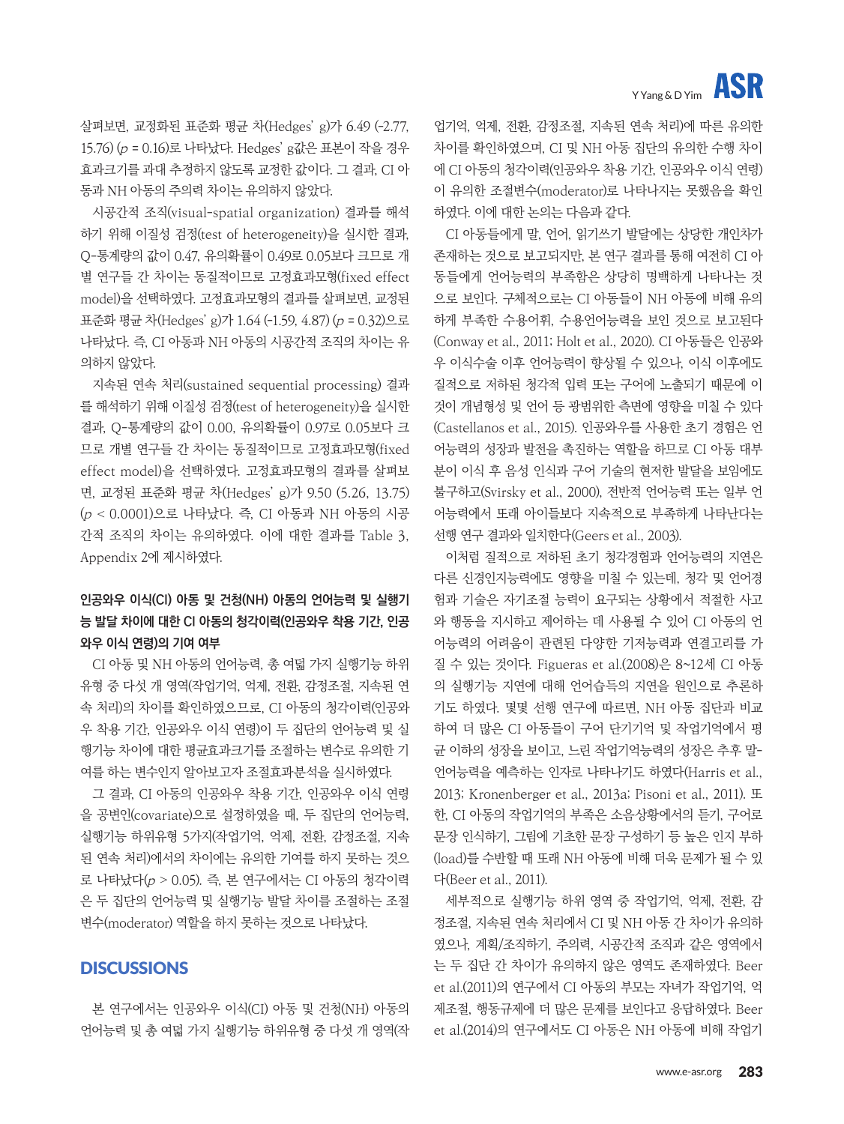# **ASR** Y Yang & D Yim

살펴보면, 교정화된 표준화 평균 차(Hedges' g)가 6.49 (-2.77, 15.76) (p = 0.16)로 나타났다. Hedges' g값은 표본이 작을 경우 효과크기를 과대 추정하지 않도록 교정한 값이다. 그 결과, CI 아 동과 NH 아동의 주의력 차이는 유의하지 않았다.

시공간적 조직(visual-spatial organization) 결과를 해석 하기 위해 이질성 검정(test of heterogeneity)을 실시한 결과, Q-통계량의 값이 0.47, 유의확률이 0.49로 0.05보다 크므로 개 별 연구들 간 차이는 동질적이므로 고정효과모형(fixed effect model)을 선택하였다. 고정효과모형의 결과를 살펴보면, 교정된 표준화 평균 차(Hedges' g)가 1.64 (-1.59, 4.87) (p = 0.32)으로 나타났다. 즉, CI 아동과 NH 아동의 시공간적 조직의 차이는 유 의하지 않았다.

지속된 연속 처리(sustained sequential processing) 결과 를 해석하기 위해 이질성 검정(test of heterogeneity)을 실시한 결과, Q-통계량의 값이 0.00, 유의확률이 0.97로 0.05보다 크 므로 개별 연구들 간 차이는 동질적이므로 고정효과모형(fixed effect model)을 선택하였다. 고정효과모형의 결과를 살펴보 면, 교정된 표준화 평균 차(Hedges' g)가 9.50 (5.26, 13.75) (p < 0.0001)으로 나타났다. 즉, CI 아동과 NH 아동의 시공 간적 조직의 차이는 유의하였다. 이에 대한 결과를 Table 3, Appendix 2에 제시하였다.

# **인공와우 이식(CI) 아동 및 건청(NH) 아동의 언어능력 및 실행기 능 발달 차이에 대한 CI 아동의 청각이력(인공와우 착용 기간, 인공 와우 이식 연령)의 기여 여부**

CI 아동 및 NH 아동의 언어능력, 총 여덟 가지 실행기능 하위 유형 중 다섯 개 영역(작업기억, 억제, 전환, 감정조절, 지속된 연 속 처리)의 차이를 확인하였으므로, CI 아동의 청각이력(인공와 우 착용 기간, 인공와우 이식 연령)이 두 집단의 언어능력 및 실 행기능 차이에 대한 평균효과크기를 조절하는 변수로 유의한 기 여를 하는 변수인지 알아보고자 조절효과분석을 실시하였다.

그 결과, CI 아동의 인공와우 착용 기간, 인공와우 이식 연령 을 공변인(covariate)으로 설정하였을 때, 두 집단의 언어능력, 실행기능 하위유형 5가지(작업기억, 억제, 전환, 감정조절, 지속 된 연속 처리)에서의 차이에는 유의한 기여를 하지 못하는 것으 로 나타났다(p > 0.05). 즉, 본 연구에서는 CI 아동의 청각이력 은 두 집단의 언어능력 및 실행기능 발달 차이를 조절하는 조절 변수(moderator) 역할을 하지 못하는 것으로 나타났다.

# **DISCUSSIONS**

본 연구에서는 인공와우 이식(CI) 아동 및 건청(NH) 아동의 언어능력 및 총 여덟 가지 실행기능 하위유형 중 다섯 개 영역(작

업기억, 억제, 전환, 감정조절, 지속된 연속 처리)에 따른 유의한 차이를 확인하였으며, CI 및 NH 아동 집단의 유의한 수행 차이 에 CI 아동의 청각이력(인공와우 착용 기간, 인공와우 이식 연령) 이 유의한 조절변수(moderator)로 나타나지는 못했음을 확인 하였다. 이에 대한 논의는 다음과 같다.

CI 아동들에게 말, 언어, 읽기쓰기 발달에는 상당한 개인차가 존재하는 것으로 보고되지만, 본 연구 결과를 통해 여전히 CI 아 동들에게 언어능력의 부족함은 상당히 명백하게 나타나는 것 으로 보인다. 구체적으로는 CI 아동들이 NH 아동에 비해 유의 하게 부족한 수용어휘, 수용언어능력을 보인 것으로 보고된다 (Conway et al., 2011; Holt et al., 2020). CI 아동들은 인공와 우 이식수술 이후 언어능력이 향상될 수 있으나, 이식 이후에도 질적으로 저하된 청각적 입력 또는 구어에 노출되기 때문에 이 것이 개념형성 및 언어 등 광범위한 측면에 영향을 미칠 수 있다 (Castellanos et al., 2015). 인공와우를 사용한 초기 경험은 언 어능력의 성장과 발전을 촉진하는 역할을 하므로 CI 아동 대부 분이 이식 후 음성 인식과 구어 기술의 현저한 발달을 보임에도 불구하고(Svirsky et al., 2000), 전반적 언어능력 또는 일부 언 어능력에서 또래 아이들보다 지속적으로 부족하게 나타난다는 선행 연구 결과와 일치한다(Geers et al., 2003).

이처럼 질적으로 저하된 초기 청각경험과 언어능력의 지연은 다른 신경인지능력에도 영향을 미칠 수 있는데, 청각 및 언어경 험과 기술은 자기조절 능력이 요구되는 상황에서 적절한 사고 와 행동을 지시하고 제어하는 데 사용될 수 있어 CI 아동의 언 어능력의 어려움이 관련된 다양한 기저능력과 연결고리를 가 질 수 있는 것이다. Figueras et al.(2008)은 8~12세 CI 아동 의 실행기능 지연에 대해 언어습득의 지연을 원인으로 추론하 기도 하였다. 몇몇 선행 연구에 따르면, NH 아동 집단과 비교 하여 더 많은 CI 아동들이 구어 단기기억 및 작업기억에서 평 균 이하의 성장을 보이고, 느린 작업기억능력의 성장은 추후 말-언어능력을 예측하는 인자로 나타나기도 하였다(Harris et al., 2013; Kronenberger et al., 2013a; Pisoni et al., 2011). 또 한, CI 아동의 작업기억의 부족은 소음상황에서의 듣기, 구어로 문장 인식하기, 그림에 기초한 문장 구성하기 등 높은 인지 부하 (load)를 수반할 때 또래 NH 아동에 비해 더욱 문제가 될 수 있 다(Beer et al., 2011).

세부적으로 실행기능 하위 영역 중 작업기억, 억제, 전환, 감 정조절, 지속된 연속 처리에서 CI 및 NH 아동 간 차이가 유의하 였으나, 계획/조직하기, 주의력, 시공간적 조직과 같은 영역에서 는 두 집단 간 차이가 유의하지 않은 영역도 존재하였다. Beer et al.(2011)의 연구에서 CI 아동의 부모는 자녀가 작업기억, 억 제조절, 행동규제에 더 많은 문제를 보인다고 응답하였다. Beer et al.(2014)의 연구에서도 CI 아동은 NH 아동에 비해 작업기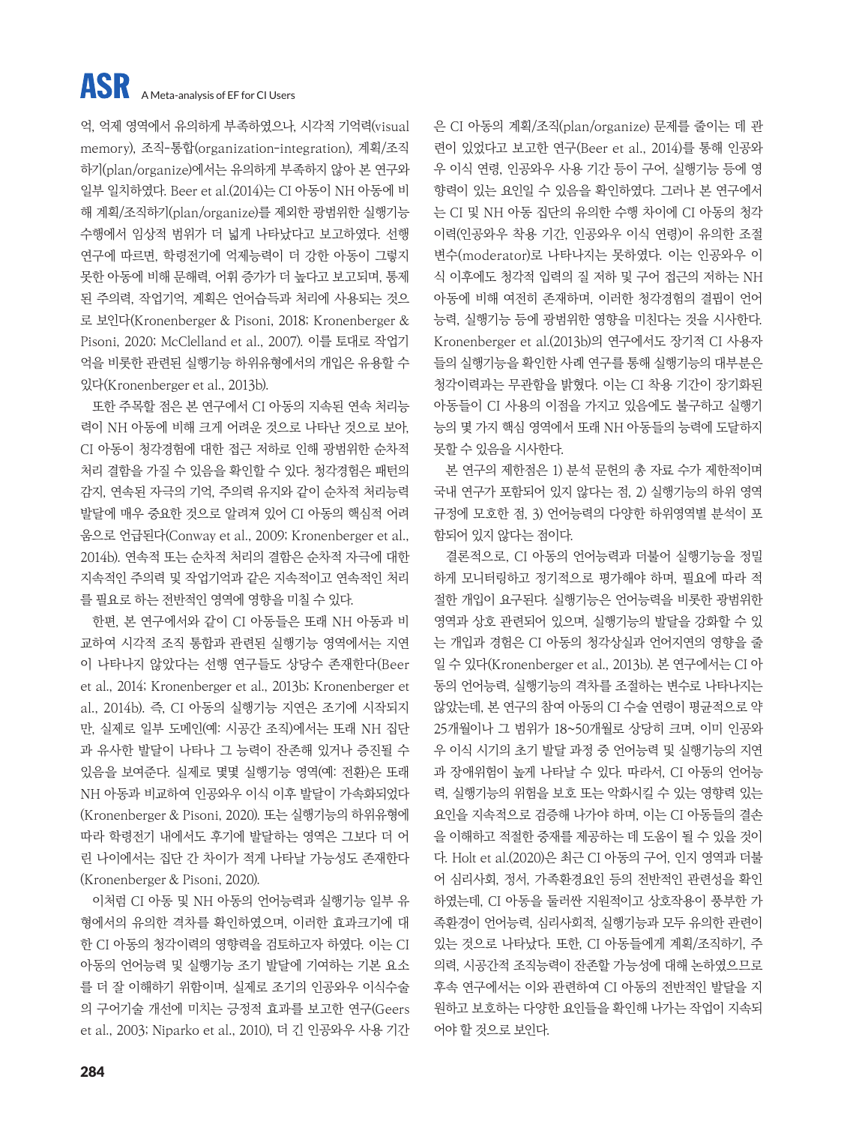억, 억제 영역에서 유의하게 부족하였으나, 시각적 기억력(visual memory), 조직-통합(organization-integration), 계획/조직 하기(plan/organize)에서는 유의하게 부족하지 않아 본 연구와 일부 일치하였다. Beer et al.(2014)는 CI 아동이 NH 아동에 비 해 계획/조직하기(plan/organize)를 제외한 광범위한 실행기능 수행에서 임상적 범위가 더 넓게 나타났다고 보고하였다. 선행 연구에 따르면, 학령전기에 억제능력이 더 강한 아동이 그렇지 못한 아동에 비해 문해력, 어휘 증가가 더 높다고 보고되며, 통제 된 주의력, 작업기억, 계획은 언어습득과 처리에 사용되는 것으 로 보인다(Kronenberger & Pisoni, 2018; Kronenberger & Pisoni, 2020; McClelland et al., 2007). 이를 토대로 작업기 억을 비롯한 관련된 실행기능 하위유형에서의 개입은 유용할 수 있다(Kronenberger et al., 2013b).

또한 주목할 점은 본 연구에서 CI 아동의 지속된 연속 처리능 력이 NH 아동에 비해 크게 어려운 것으로 나타난 것으로 보아, CI 아동이 청각경험에 대한 접근 저하로 인해 광범위한 순차적 처리 결함을 가질 수 있음을 확인할 수 있다. 청각경험은 패턴의 감지, 연속된 자극의 기억, 주의력 유지와 같이 순차적 처리능력 발달에 매우 중요한 것으로 알려져 있어 CI 아동의 핵심적 어려 움으로 언급된다(Conway et al., 2009; Kronenberger et al., 2014b). 연속적 또는 순차적 처리의 결함은 순차적 자극에 대한 지속적인 주의력 및 작업기억과 같은 지속적이고 연속적인 처리 를 필요로 하는 전반적인 영역에 영향을 미칠 수 있다.

한편, 본 연구에서와 같이 CI 아동들은 또래 NH 아동과 비 교하여 시각적 조직 통합과 관련된 실행기능 영역에서는 지연 이 나타나지 않았다는 선행 연구들도 상당수 존재한다(Beer et al., 2014; Kronenberger et al., 2013b; Kronenberger et al., 2014b). 즉, CI 아동의 실행기능 지연은 조기에 시작되지 만, 실제로 일부 도메인(예: 시공간 조직)에서는 또래 NH 집단 과 유사한 발달이 나타나 그 능력이 잔존해 있거나 증진될 수 있음을 보여준다. 실제로 몇몇 실행기능 영역(예: 전환)은 또래 NH 아동과 비교하여 인공와우 이식 이후 발달이 가속화되었다 (Kronenberger & Pisoni, 2020). 또는 실행기능의 하위유형에 따라 학령전기 내에서도 후기에 발달하는 영역은 그보다 더 어 린 나이에서는 집단 간 차이가 적게 나타날 가능성도 존재한다 (Kronenberger & Pisoni, 2020).

이처럼 CI 아동 및 NH 아동의 언어능력과 실행기능 일부 유 형에서의 유의한 격차를 확인하였으며, 이러한 효과크기에 대 한 CI 아동의 청각이력의 영향력을 검토하고자 하였다. 이는 CI 아동의 언어능력 및 실행기능 조기 발달에 기여하는 기본 요소 를 더 잘 이해하기 위함이며, 실제로 조기의 인공와우 이식수술 의 구어기술 개선에 미치는 긍정적 효과를 보고한 연구(Geers et al., 2003; Niparko et al., 2010), 더 긴 인공와우 사용 기간 은 CI 아동의 계획/조직(plan/organize) 문제를 줄이는 데 관 련이 있었다고 보고한 연구(Beer et al., 2014)를 통해 인공와 우 이식 연령, 인공와우 사용 기간 등이 구어, 실행기능 등에 영 향력이 있는 요인일 수 있음을 확인하였다. 그러나 본 연구에서 는 CI 및 NH 아동 집단의 유의한 수행 차이에 CI 아동의 청각 이력(인공와우 착용 기간, 인공와우 이식 연령)이 유의한 조절 변수(moderator)로 나타나지는 못하였다. 이는 인공와우 이 식 이후에도 청각적 입력의 질 저하 및 구어 접근의 저하는 NH 아동에 비해 여전히 존재하며, 이러한 청각경험의 결핍이 언어 능력, 실행기능 등에 광범위한 영향을 미친다는 것을 시사한다. Kronenberger et al.(2013b)의 연구에서도 장기적 CI 사용자 들의 실행기능을 확인한 사례 연구를 통해 실행기능의 대부분은 청각이력과는 무관함을 밝혔다. 이는 CI 착용 기간이 장기화된 아동들이 CI 사용의 이점을 가지고 있음에도 불구하고 실행기 능의 몇 가지 핵심 영역에서 또래 NH 아동들의 능력에 도달하지 못할 수 있음을 시사한다.

본 연구의 제한점은 1) 분석 문헌의 총 자료 수가 제한적이며 국내 연구가 포함되어 있지 않다는 점, 2) 실행기능의 하위 영역 규정에 모호한 점, 3) 언어능력의 다양한 하위영역별 분석이 포 함되어 있지 않다는 점이다.

결론적으로, CI 아동의 언어능력과 더불어 실행기능을 정밀 하게 모니터링하고 정기적으로 평가해야 하며, 필요에 따라 적 절한 개입이 요구된다. 실행기능은 언어능력을 비롯한 광범위한 영역과 상호 관련되어 있으며, 실행기능의 발달을 강화할 수 있 는 개입과 경험은 CI 아동의 청각상실과 언어지연의 영향을 줄 일 수 있다(Kronenberger et al., 2013b). 본 연구에서는 CI 아 동의 언어능력, 실행기능의 격차를 조절하는 변수로 나타나지는 않았는데, 본 연구의 참여 아동의 CI 수술 연령이 평균적으로 약 25개월이나 그 범위가 18~50개월로 상당히 크며, 이미 인공와 우 이식 시기의 초기 발달 과정 중 언어능력 및 실행기능의 지연 과 장애위험이 높게 나타날 수 있다. 따라서, CI 아동의 언어능 력, 실행기능의 위험을 보호 또는 악화시킬 수 있는 영향력 있는 요인을 지속적으로 검증해 나가야 하며, 이는 CI 아동들의 결손 을 이해하고 적절한 중재를 제공하는 데 도움이 될 수 있을 것이 다. Holt et al.(2020)은 최근 CI 아동의 구어, 인지 영역과 더불 어 심리사회, 정서, 가족환경요인 등의 전반적인 관련성을 확인 하였는데, CI 아동을 둘러싼 지원적이고 상호작용이 풍부한 가 족환경이 언어능력, 심리사회적, 실행기능과 모두 유의한 관련이 있는 것으로 나타났다. 또한, CI 아동들에게 계획/조직하기, 주 의력, 시공간적 조직능력이 잔존할 가능성에 대해 논하였으므로 후속 연구에서는 이와 관련하여 CI 아동의 전반적인 발달을 지 원하고 보호하는 다양한 요인들을 확인해 나가는 작업이 지속되 어야 할 것으로 보인다.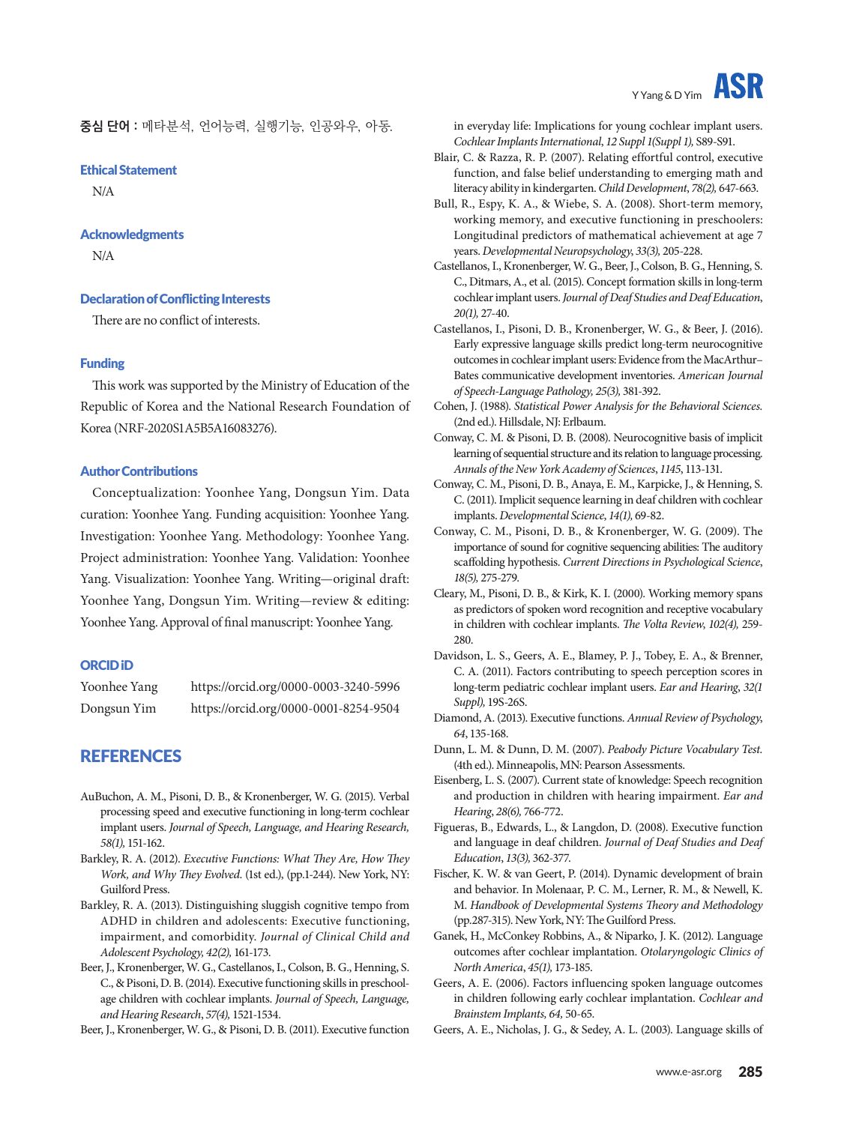**중심 단어 :** 메타분석, 언어능력, 실행기능, 인공와우, 아동.

#### Ethical Statement

N/A

#### Acknowledgments

N/A

#### Declaration of Conflicting Interests

There are no conflict of interests.

#### Funding

This work was supported by the Ministry of Education of the Republic of Korea and the National Research Foundation of Korea (NRF-2020S1A5B5A16083276).

#### Author Contributions

Conceptualization: Yoonhee Yang, Dongsun Yim. Data curation: Yoonhee Yang. Funding acquisition: Yoonhee Yang. Investigation: Yoonhee Yang. Methodology: Yoonhee Yang. Project administration: Yoonhee Yang. Validation: Yoonhee Yang. Visualization: Yoonhee Yang. Writing—original draft: Yoonhee Yang, Dongsun Yim. Writing—review & editing: Yoonhee Yang. Approval of final manuscript: Yoonhee Yang.

#### ORCID iD

| Yoonhee Yang | https://orcid.org/0000-0003-3240-5996 |
|--------------|---------------------------------------|
| Dongsun Yim  | https://orcid.org/0000-0001-8254-9504 |

# **REFERENCES**

- AuBuchon, A. M., Pisoni, D. B., & Kronenberger, W. G. (2015). Verbal processing speed and executive functioning in long-term cochlear implant users. *Journal of Speech, Language, and Hearing Research, 58(1),* 151-162.
- Barkley, R. A. (2012). *Executive Functions: What They Are, How They Work, and Why They Evolved*. (1st ed.), (pp.1-244). New York, NY: Guilford Press.
- Barkley, R. A. (2013). Distinguishing sluggish cognitive tempo from ADHD in children and adolescents: Executive functioning, impairment, and comorbidity. *Journal of Clinical Child and Adolescent Psychology, 42(2),* 161-173.
- Beer, J., Kronenberger, W. G., Castellanos, I., Colson, B. G., Henning, S. C., & Pisoni, D. B. (2014). Executive functioning skills in preschoolage children with cochlear implants. *Journal of Speech, Language, and Hearing Research*, *57(4),* 1521-1534.

Beer, J., Kronenberger, W. G., & Pisoni, D. B. (2011). Executive function

in everyday life: Implications for young cochlear implant users. *Cochlear Implants International*, *12 Suppl 1(Suppl 1),* S89-S91.

- Blair, C. & Razza, R. P. (2007). Relating effortful control, executive function, and false belief understanding to emerging math and literacy ability in kindergarten. *Child Development*, *78(2),* 647-663.
- Bull, R., Espy, K. A., & Wiebe, S. A. (2008). Short-term memory, working memory, and executive functioning in preschoolers: Longitudinal predictors of mathematical achievement at age 7 years. *Developmental Neuropsychology*, *33(3),* 205-228.
- Castellanos, I., Kronenberger, W. G., Beer, J., Colson, B. G., Henning, S. C., Ditmars, A., et al. (2015). Concept formation skills in long-term cochlear implant users. *Journal of Deaf Studies and Deaf Education*, *20(1),* 27-40.
- Castellanos, I., Pisoni, D. B., Kronenberger, W. G., & Beer, J. (2016). Early expressive language skills predict long-term neurocognitive outcomes in cochlear implant users: Evidence from the MacArthur– Bates communicative development inventories. *American Journal of Speech-Language Pathology, 25(3),* 381-392.
- Cohen, J. (1988). *Statistical Power Analysis for the Behavioral Sciences.*  (2nd ed.). Hillsdale, NJ: Erlbaum.
- Conway, C. M. & Pisoni, D. B. (2008). Neurocognitive basis of implicit learning of sequential structure and its relation to language processing. *Annals of the New York Academy of Sciences*, *1145*, 113-131.
- Conway, C. M., Pisoni, D. B., Anaya, E. M., Karpicke, J., & Henning, S. C. (2011). Implicit sequence learning in deaf children with cochlear implants. *Developmental Science*, *14(1),* 69-82.
- Conway, C. M., Pisoni, D. B., & Kronenberger, W. G. (2009). The importance of sound for cognitive sequencing abilities: The auditory scaffolding hypothesis. *Current Directions in Psychological Science*, *18(5),* 275-279.
- Cleary, M., Pisoni, D. B., & Kirk, K. I. (2000). Working memory spans as predictors of spoken word recognition and receptive vocabulary in children with cochlear implants. *The Volta Review*, *102(4),* 259- 280.
- Davidson, L. S., Geers, A. E., Blamey, P. J., Tobey, E. A., & Brenner, C. A. (2011). Factors contributing to speech perception scores in long-term pediatric cochlear implant users. *Ear and Hearing*, *32(1 Suppl),* 19S-26S.
- Diamond, A. (2013). Executive functions. *Annual Review of Psychology*, *64*, 135-168.
- Dunn, L. M. & Dunn, D. M. (2007). *Peabody Picture Vocabulary Test.*  (4th ed.). Minneapolis, MN: Pearson Assessments.
- Eisenberg, L. S. (2007). Current state of knowledge: Speech recognition and production in children with hearing impairment. *Ear and Hearing*, *28(6),* 766-772.
- Figueras, B., Edwards, L., & Langdon, D. (2008). Executive function and language in deaf children. *Journal of Deaf Studies and Deaf Education*, *13(3),* 362-377.
- Fischer, K. W. & van Geert, P. (2014). Dynamic development of brain and behavior. In Molenaar, P. C. M., Lerner, R. M., & Newell, K. M. *Handbook of Developmental Systems Theory and Methodology* (pp.287-315). New York, NY: The Guilford Press.
- Ganek, H., McConkey Robbins, A., & Niparko, J. K. (2012). Language outcomes after cochlear implantation. *Otolaryngologic Clinics of North America*, *45(1),* 173-185.
- Geers, A. E. (2006). Factors influencing spoken language outcomes in children following early cochlear implantation. *Cochlear and Brainstem Implants, 64,* 50-65.
- Geers, A. E., Nicholas, J. G., & Sedey, A. L. (2003). Language skills of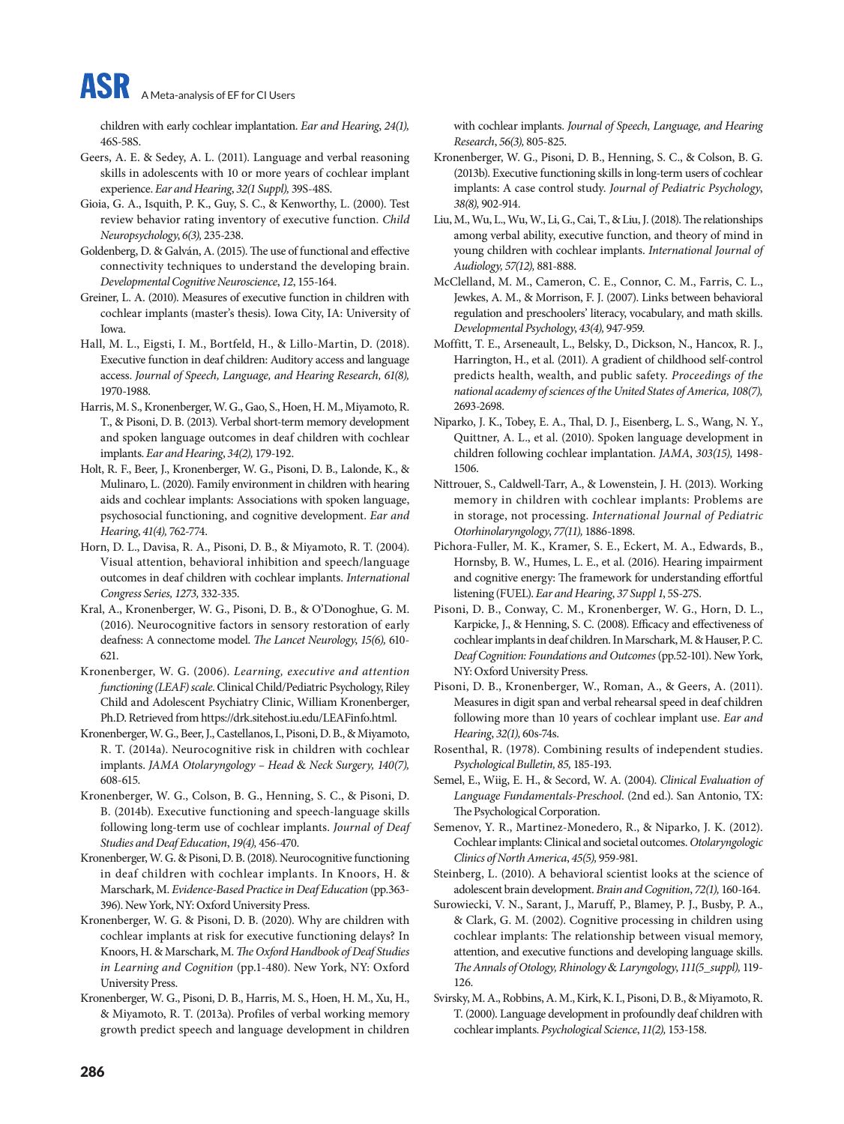children with early cochlear implantation. *Ear and Hearing*, *24(1),* 46S-58S.

- Geers, A. E. & Sedey, A. L. (2011). Language and verbal reasoning skills in adolescents with 10 or more years of cochlear implant experience. *Ear and Hearing*, *32(1 Suppl),* 39S-48S.
- Gioia, G. A., Isquith, P. K., Guy, S. C., & Kenworthy, L. (2000). Test review behavior rating inventory of executive function. *Child Neuropsychology*, *6(3),* 235-238.
- Goldenberg, D. & Galván, A. (2015). The use of functional and effective connectivity techniques to understand the developing brain. *Developmental Cognitive Neuroscience*, *12*, 155-164.
- Greiner, L. A. (2010). Measures of executive function in children with cochlear implants (master's thesis). Iowa City, IA: University of Iowa.
- Hall, M. L., Eigsti, I. M., Bortfeld, H., & Lillo-Martin, D. (2018). Executive function in deaf children: Auditory access and language access. *Journal of Speech, Language, and Hearing Research, 61(8),* 1970-1988.
- Harris, M. S., Kronenberger, W. G., Gao, S., Hoen, H. M., Miyamoto, R. T., & Pisoni, D. B. (2013). Verbal short-term memory development and spoken language outcomes in deaf children with cochlear implants. *Ear and Hearing*, *34(2),* 179-192.
- Holt, R. F., Beer, J., Kronenberger, W. G., Pisoni, D. B., Lalonde, K., & Mulinaro, L. (2020). Family environment in children with hearing aids and cochlear implants: Associations with spoken language, psychosocial functioning, and cognitive development. *Ear and Hearing*, *41(4),* 762-774.
- Horn, D. L., Davisa, R. A., Pisoni, D. B., & Miyamoto, R. T. (2004). Visual attention, behavioral inhibition and speech/language outcomes in deaf children with cochlear implants. *International Congress Series, 1273,* 332-335.
- Kral, A., Kronenberger, W. G., Pisoni, D. B., & O'Donoghue, G. M. (2016). Neurocognitive factors in sensory restoration of early deafness: A connectome model. *The Lancet Neurology*, *15(6),* 610- 621.
- Kronenberger, W. G. (2006). *Learning, executive and attention functioning (LEAF) scale*. Clinical Child/Pediatric Psychology, Riley Child and Adolescent Psychiatry Clinic, William Kronenberger, Ph.D. Retrieved from https://drk.sitehost.iu.edu/LEAFinfo.html.
- Kronenberger, W. G., Beer, J., Castellanos, I., Pisoni, D. B., & Miyamoto, R. T. (2014a). Neurocognitive risk in children with cochlear implants. *JAMA Otolaryngology – Head* & *Neck Surgery, 140(7),* 608-615.
- Kronenberger, W. G., Colson, B. G., Henning, S. C., & Pisoni, D. B. (2014b). Executive functioning and speech-language skills following long-term use of cochlear implants. *Journal of Deaf Studies and Deaf Education*, *19(4),* 456-470.
- Kronenberger, W. G. & Pisoni, D. B. (2018). Neurocognitive functioning in deaf children with cochlear implants. In Knoors, H. & Marschark, M. *Evidence-Based Practice in Deaf Education* (pp.363- 396). New York, NY: Oxford University Press.
- Kronenberger, W. G. & Pisoni, D. B. (2020). Why are children with cochlear implants at risk for executive functioning delays? In Knoors, H. & Marschark, M. *The Oxford Handbook of Deaf Studies in Learning and Cognition* (pp.1-480). New York, NY: Oxford University Press.
- Kronenberger, W. G., Pisoni, D. B., Harris, M. S., Hoen, H. M., Xu, H., & Miyamoto, R. T. (2013a). Profiles of verbal working memory growth predict speech and language development in children

with cochlear implants. *Journal of Speech, Language, and Hearing Research*, *56(3),* 805-825.

- Kronenberger, W. G., Pisoni, D. B., Henning, S. C., & Colson, B. G. (2013b). Executive functioning skills in long-term users of cochlear implants: A case control study. *Journal of Pediatric Psychology*, *38(8),* 902-914.
- Liu, M., Wu, L., Wu, W., Li, G., Cai, T., & Liu, J. (2018). The relationships among verbal ability, executive function, and theory of mind in young children with cochlear implants. *International Journal of Audiology, 57(12),* 881-888.
- McClelland, M. M., Cameron, C. E., Connor, C. M., Farris, C. L., Jewkes, A. M., & Morrison, F. J. (2007). Links between behavioral regulation and preschoolers' literacy, vocabulary, and math skills. *Developmental Psychology*, *43(4),* 947-959.
- Moffitt, T. E., Arseneault, L., Belsky, D., Dickson, N., Hancox, R. J., Harrington, H., et al. (2011). A gradient of childhood self-control predicts health, wealth, and public safety. *Proceedings of the national academy of sciences of the United States of America, 108(7),* 2693-2698.
- Niparko, J. K., Tobey, E. A., Thal, D. J., Eisenberg, L. S., Wang, N. Y., Quittner, A. L., et al. (2010). Spoken language development in children following cochlear implantation. *JAMA*, *303(15),* 1498- 1506.
- Nittrouer, S., Caldwell-Tarr, A., & Lowenstein, J. H. (2013). Working memory in children with cochlear implants: Problems are in storage, not processing. *International Journal of Pediatric Otorhinolaryngology*, *77(11),* 1886-1898.
- Pichora-Fuller, M. K., Kramer, S. E., Eckert, M. A., Edwards, B., Hornsby, B. W., Humes, L. E., et al. (2016). Hearing impairment and cognitive energy: The framework for understanding effortful listening (FUEL). *Ear and Hearing*, *37 Suppl 1*, 5S-27S.
- Pisoni, D. B., Conway, C. M., Kronenberger, W. G., Horn, D. L., Karpicke, J., & Henning, S. C. (2008). Efficacy and effectiveness of cochlear implants in deaf children. In Marschark, M. & Hauser, P. C. *Deaf Cognition: Foundations and Outcomes* (pp.52-101). New York, NY: Oxford University Press.
- Pisoni, D. B., Kronenberger, W., Roman, A., & Geers, A. (2011). Measures in digit span and verbal rehearsal speed in deaf children following more than 10 years of cochlear implant use. *Ear and Hearing*, *32(1),* 60s-74s.
- Rosenthal, R. (1978). Combining results of independent studies. *Psychological Bulletin, 85,* 185-193.
- Semel, E., Wiig, E. H., & Secord, W. A. (2004). *Clinical Evaluation of Language Fundamentals-Preschool*. (2nd ed.). San Antonio, TX: The Psychological Corporation.
- Semenov, Y. R., Martinez-Monedero, R., & Niparko, J. K. (2012). Cochlear implants: Clinical and societal outcomes. *Otolaryngologic Clinics of North America*, *45(5),* 959-981.
- Steinberg, L. (2010). A behavioral scientist looks at the science of adolescent brain development. *Brain and Cognition*, *72(1),* 160-164.
- Surowiecki, V. N., Sarant, J., Maruff, P., Blamey, P. J., Busby, P. A., & Clark, G. M. (2002). Cognitive processing in children using cochlear implants: The relationship between visual memory, attention, and executive functions and developing language skills. *The Annals of Otology, Rhinology* & *Laryngology*, *111(5\_suppl),* 119- 126.
- Svirsky, M. A., Robbins, A. M., Kirk, K. I., Pisoni, D. B., & Miyamoto, R. T. (2000). Language development in profoundly deaf children with cochlear implants. *Psychological Science*, *11(2),* 153-158.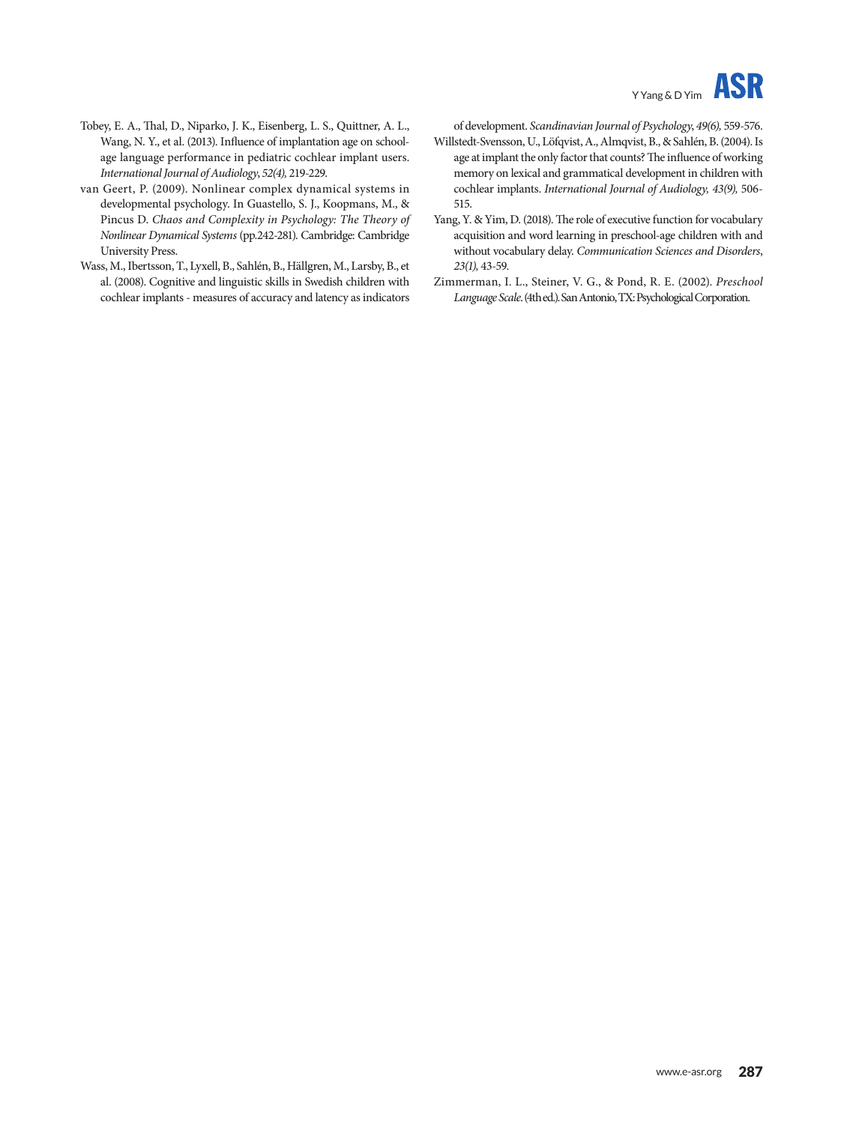

- Tobey, E. A., Thal, D., Niparko, J. K., Eisenberg, L. S., Quittner, A. L., Wang, N. Y., et al. (2013). Influence of implantation age on schoolage language performance in pediatric cochlear implant users. *International Journal of Audiology*, *52(4),* 219-229.
- van Geert, P. (2009). Nonlinear complex dynamical systems in developmental psychology. In Guastello, S. J., Koopmans, M., & Pincus D. *Chaos and Complexity in Psychology: The Theory of Nonlinear Dynamical Systems* (pp.242-281). Cambridge: Cambridge University Press.
- Wass, M., Ibertsson, T., Lyxell, B., Sahlén, B., Hällgren, M., Larsby, B., et al. (2008). Cognitive and linguistic skills in Swedish children with cochlear implants - measures of accuracy and latency as indicators

of development. *Scandinavian Journal of Psychology*, *49(6),* 559-576.

- Willstedt-Svensson, U., Löfqvist, A., Almqvist, B., & Sahlén, B. (2004). Is age at implant the only factor that counts? The influence of working memory on lexical and grammatical development in children with cochlear implants. *International Journal of Audiology, 43(9),* 506- 515.
- Yang, Y. & Yim, D. (2018). The role of executive function for vocabulary acquisition and word learning in preschool-age children with and without vocabulary delay. *Communication Sciences and Disorders*, *23(1),* 43-59.
- Zimmerman, I. L., Steiner, V. G., & Pond, R. E. (2002). *Preschool Language Scale*. (4th ed.). San Antonio, TX: Psychological Corporation.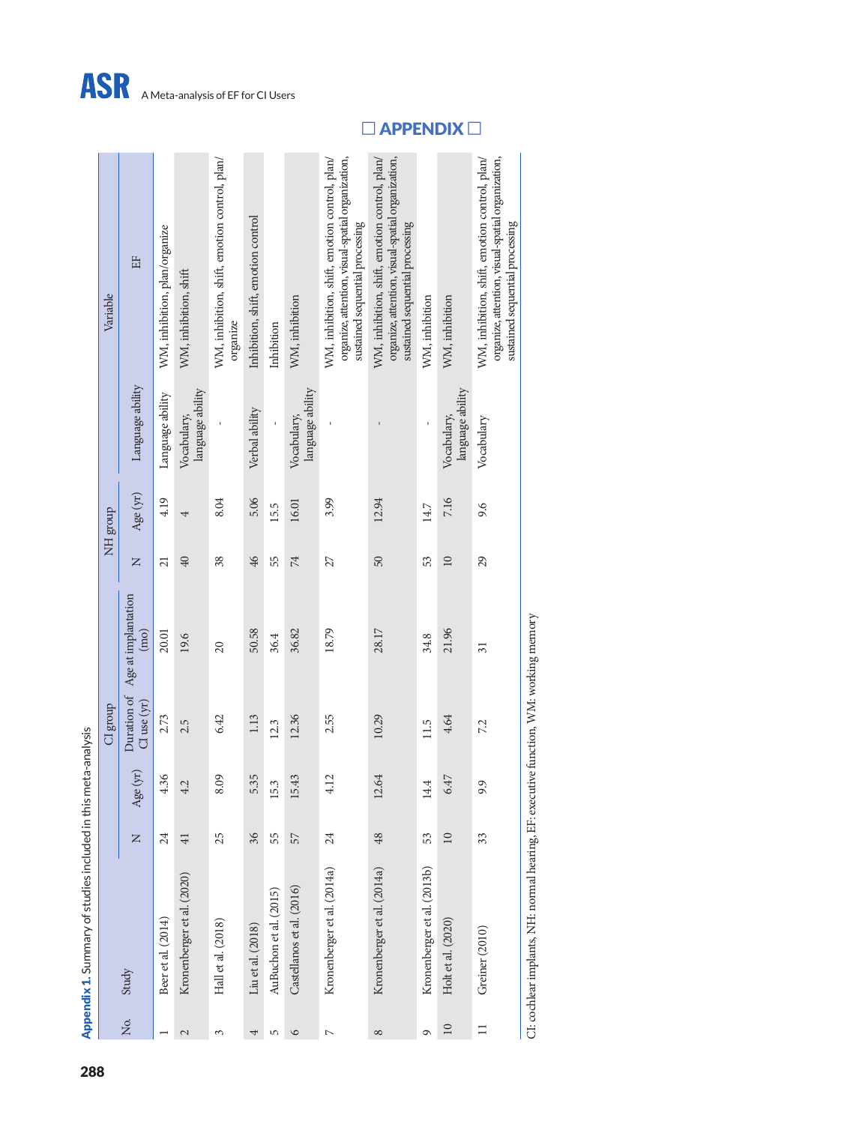|              | Appendix 1. Summary of studies included in this meta-analysis                         |                 |                           |                 |                                         |                 |                 |                                 |                                                                                                                                       |
|--------------|---------------------------------------------------------------------------------------|-----------------|---------------------------|-----------------|-----------------------------------------|-----------------|-----------------|---------------------------------|---------------------------------------------------------------------------------------------------------------------------------------|
|              |                                                                                       |                 |                           | CI group        |                                         |                 | <b>ADDE HIN</b> |                                 | Variable                                                                                                                              |
| Σó,          | Study                                                                                 | $\mathsf{z}$    | yr)<br>Age (              | $Cl$ use $(yr)$ | Duration of Age at implantation<br>(mo) | $\overline{z}$  | Age (yr)        | Language ability                | 出                                                                                                                                     |
|              | Beer et al. (2014)                                                                    | 24              | 4.36                      | 2.73            | 20.01                                   | $\overline{21}$ | 4.19            | Language ability                | WM, inhibition, plan/organize                                                                                                         |
| $\mathbf{C}$ | Kronenberger et al. (2020)                                                            | $\overline{41}$ | 4.2                       | 2.5             | 19.6                                    | $\overline{40}$ | 4               | language ability<br>Vocabulary, | WM, inhibition, shift                                                                                                                 |
| 3            | Hall et al. (2018)                                                                    | 25              | Ó<br>8.0                  | 6.42            | $\overline{c}$                          | 38              | 8.04            |                                 | WM, inhibition, shift, emotion control, plan/<br>organize                                                                             |
| 4            | Liu et al. (2018)                                                                     | 36              | 5<br>5.3                  | 1.13            | 50.58                                   | $\frac{4}{6}$   | 5.06            | Verbal ability                  | Inhibition, shift, emotion control                                                                                                    |
| 5            | AuBuchon et al. (2015)                                                                | 55              | 15.3                      | 12.3            | 36.4                                    | 55              | 15.5            |                                 | Inhibition                                                                                                                            |
| $\circ$      | Castellanos et al. (2016)                                                             | 57              | 15.43                     | 12.36           | 36.82                                   | $\overline{7}$  | 16.01           | language ability<br>Vocabulary, | WM, inhibition                                                                                                                        |
| $\sim$       | Kronenberger et al. (2014a)                                                           | 24              | $\mathbf 2$<br>$\ddot{ }$ | 2.55            | 18.79                                   | 27              | 3.99            |                                 | organize, attention, visual-spatial organization,<br>WM, inhibition, shift, emotion control, plan/<br>sustained sequential processing |
| $^{\circ}$   | Kronenberger et al. (2014a)                                                           | 48              | 12.64                     | 10.29           | 28.17                                   | 50              | 12.94           |                                 | WM, inhibition, shift, emotion control, plan/<br>organize, attention, visual-spatial organization,<br>sustained sequential processing |
| ٩            | Kronenberger et al. (2013b)                                                           | 53              | 14.4                      | 11.5            | 34.8                                    | 53              | 14.7            |                                 | WM, inhibition                                                                                                                        |
| 10           | Holt et al. (2020)                                                                    | 10              | 6.47                      | 4.64            | 21.96                                   | $\Box$          | 7.16            | language ability<br>Vocabulary, | WM, inhibition                                                                                                                        |
| $\equiv$     | Greiner (2010)                                                                        | 33              | 9.9                       | 7.2             | $\overline{31}$                         | 29              | 9.6             | Vocabulary                      | organize, attention, visual-spatial organization,<br>WM, inhibition, shift, emotion control, plan/<br>sustained sequential processing |
|              | C1: cochlear implants, NH: normal hearing, EF: executive function, WM: working memory |                 |                           |                 |                                         |                 |                 |                                 |                                                                                                                                       |

**□** APPENDIX **□**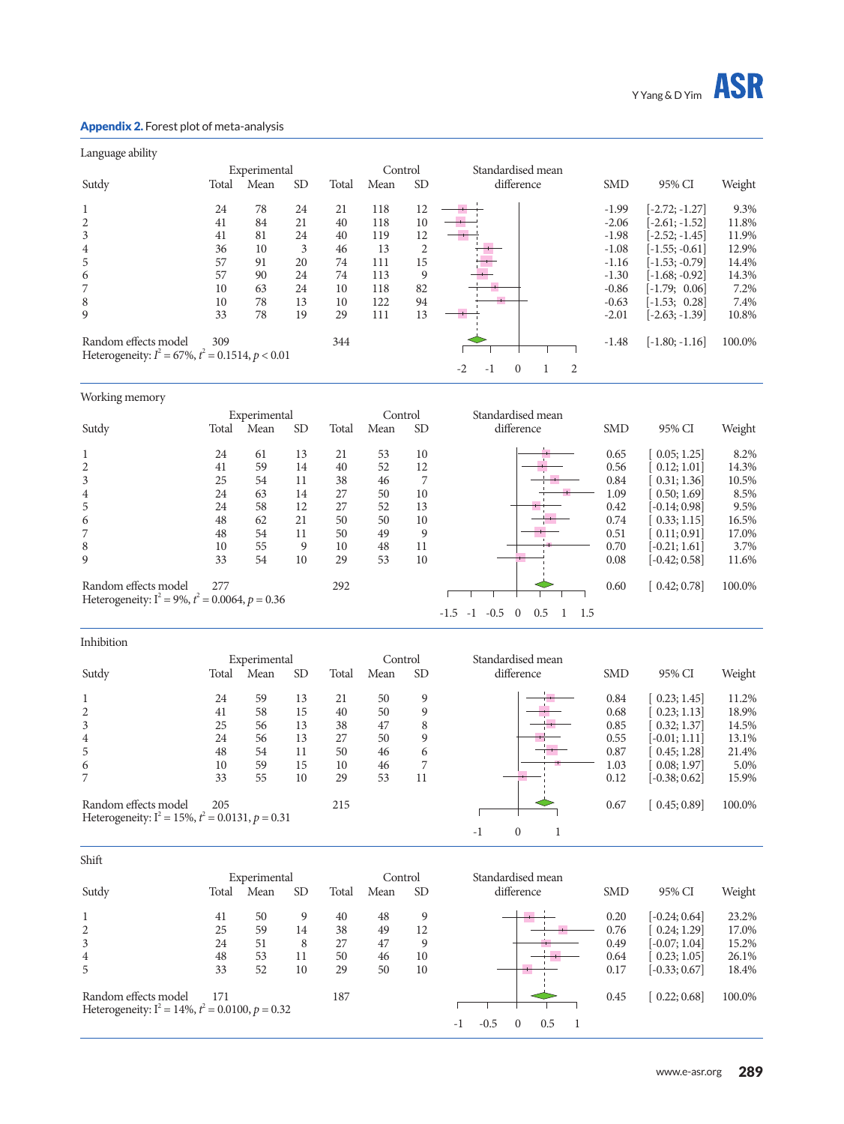

### Appendix 2. Forest plot of meta-analysis

Working memory

| Language ability                                    |       |              |           |       |         |                |                          |   |            |                  |        |
|-----------------------------------------------------|-------|--------------|-----------|-------|---------|----------------|--------------------------|---|------------|------------------|--------|
|                                                     |       | Experimental |           |       | Control |                | Standardised mean        |   |            |                  |        |
| Sutdy                                               | Total | Mean         | <b>SD</b> | Total | Mean    | <b>SD</b>      | difference               |   | <b>SMD</b> | 95% CI           | Weight |
| $\mathbf{1}$                                        | 24    | 78           | 24        | 21    | 118     | 12             |                          |   | $-1.99$    | $-2.72; -1.27$   | 9.3%   |
| 2                                                   | 41    | 84           | 21        | 40    | 118     | 10             |                          |   | $-2.06$    | $-2.61; -1.52]$  | 11.8%  |
| 3                                                   | 41    | 81           | 24        | 40    | 119     | 12             |                          |   | $-1.98$    | $-2.52; -1.45]$  | 11.9%  |
| $\overline{4}$                                      | 36    | 10           | 3         | 46    | 13      | $\overline{c}$ |                          |   | $-1.08$    | $[-1.55; -0.61]$ | 12.9%  |
| 5                                                   | 57    | 91           | 20        | 74    | 111     | 15             |                          |   | $-1.16$    | $[-1.53; -0.79]$ | 14.4%  |
| 6                                                   | 57    | 90           | 24        | 74    | 113     | 9              |                          |   | $-1.30$    | $[-1.68; -0.92]$ | 14.3%  |
| 7                                                   | 10    | 63           | 24        | 10    | 118     | 82             |                          |   | $-0.86$    | $[-1.79; 0.06]$  | 7.2%   |
| 8                                                   | 10    | 78           | 13        | 10    | 122     | 94             |                          |   | $-0.63$    | $[-1.53; 0.28]$  | 7.4%   |
| 9                                                   | 33    | 78           | 19        | 29    | 111     | 13             |                          |   | $-2.01$    | $[-2.63; -1.39]$ | 10.8%  |
| Random effects model                                | 309   |              |           | 344   |         |                |                          |   | $-1.48$    | $[-1.80; -1.16]$ | 100.0% |
| Heterogeneity: $I^2 = 67\%, t^2 = 0.1514, p < 0.01$ |       |              |           |       |         |                |                          |   |            |                  |        |
|                                                     |       |              |           |       |         |                | $-2$<br>$\Omega$<br>$-1$ | 2 |            |                  |        |
|                                                     |       |              |           |       |         |                |                          |   |            |                  |        |

|                                                                            |       | Experimental |           |       | Control |           | Standardised mean                                  |            |                 |        |
|----------------------------------------------------------------------------|-------|--------------|-----------|-------|---------|-----------|----------------------------------------------------|------------|-----------------|--------|
| Sutdy                                                                      | Total | Mean         | <b>SD</b> | Total | Mean    | <b>SD</b> | difference                                         | <b>SMD</b> | 95% CI          | Weight |
|                                                                            | 24    | 61           | 13        | 21    | 53      | 10        |                                                    | 0.65       | 0.05; 1.25      | 8.2%   |
| $\overline{2}$                                                             | 41    | 59           | 14        | 40    | 52      | 12        |                                                    | 0.56       | 0.12; 1.01      | 14.3%  |
| 3                                                                          | 25    | 54           | 11        | 38    | 46      |           |                                                    | 0.84       | 0.31; 1.36      | 10.5%  |
| 4                                                                          | 24    | 63           | 14        | 27    | 50      | 10        |                                                    | 1.09       | 0.50; 1.69      | 8.5%   |
| 5                                                                          | 24    | 58           | 12        | 27    | 52      | 13        |                                                    | 0.42       | [-0.14: 0.98]   | 9.5%   |
| 6                                                                          | 48    | 62           | 21        | 50    | 50      | 10        |                                                    | 0.74       | 0.33; 1.15      | 16.5%  |
|                                                                            | 48    | 54           | 11        | 50    | 49      | 9         |                                                    | 0.51       | [0.11; 0.91]    | 17.0%  |
| 8                                                                          | 10    | 55           | 9         | 10    | 48      | 11        |                                                    | 0.70       | $[-0.21; 1.61]$ | 3.7%   |
| 9                                                                          | 33    | 54           | 10        | 29    | 53      | 10        |                                                    | 0.08       | $[-0.42; 0.58]$ | 11.6%  |
| Random effects model<br>Heterogeneity: $I^2 = 9\%, t^2 = 0.0064, p = 0.36$ | 277   |              |           | 292   |         |           |                                                    | 0.60       | 0.42; 0.78      | 100.0% |
|                                                                            |       |              |           |       |         |           | $-0.5$<br>0.5<br>1.5<br>$-1.5$<br>$\Omega$<br>$-1$ |            |                 |        |
|                                                                            |       |              |           |       |         |           |                                                    |            |                 |        |

| Inhibition                                          |       |              |                 |       |         |           |                   |            |                 |        |
|-----------------------------------------------------|-------|--------------|-----------------|-------|---------|-----------|-------------------|------------|-----------------|--------|
|                                                     |       | Experimental |                 |       | Control |           | Standardised mean |            |                 |        |
| Sutdy                                               | Total | Mean         | SD <sub>1</sub> | Total | Mean    | <b>SD</b> | difference        | <b>SMD</b> | 95% CI          | Weight |
|                                                     | 24    | 59           | 13              | 21    | 50      | 9         |                   | 0.84       | 0.23; 1.45      | 11.2%  |
| 2                                                   | 41    | 58           | 15              | 40    | 50      | 9         |                   | 0.68       | 0.23; 1.13      | 18.9%  |
| 3                                                   | 25    | 56           | 13              | 38    | 47      | 8         |                   | 0.85       | 0.32; 1.37      | 14.5%  |
| 4                                                   | 24    | 56           | 13              | 27    | 50      | 9         |                   | 0.55       | [-0.01: 1.11]   | 13.1%  |
| 5                                                   | 48    | 54           | 11              | 50    | 46      | 6         |                   | 0.87       | 0.45; 1.28      | 21.4%  |
| 6                                                   | 10    | 59           | 15              | 10    | 46      |           |                   | 1.03       | 0.08; 1.97      | 5.0%   |
| 7                                                   | 33    | 55           | 10              | 29    | 53      | 11        |                   | 0.12       | $[-0.38; 0.62]$ | 15.9%  |
| Random effects model                                | 205   |              |                 | 215   |         |           |                   | 0.67       | 0.45; 0.89      | 100.0% |
| Heterogeneity: $I^2 = 15\%, t^2 = 0.0131, p = 0.31$ |       |              |                 |       |         |           |                   |            |                 |        |
|                                                     |       |              |                 |       |         |           | $\theta$<br>$-1$  |            |                 |        |

| Shift                                                                       |       |              |           |       |         |           |                   |            |                 |        |
|-----------------------------------------------------------------------------|-------|--------------|-----------|-------|---------|-----------|-------------------|------------|-----------------|--------|
|                                                                             |       | Experimental |           |       | Control |           | Standardised mean |            |                 |        |
| Sutdy                                                                       | Total | Mean         | <b>SD</b> | Total | Mean    | <b>SD</b> | difference        | <b>SMD</b> | 95% CI          | Weight |
| $\mathbf{1}$                                                                | 41    | 50           | 9         | 40    | 48      | 9         |                   | 0.20       | $[-0.24; 0.64]$ | 23.2%  |
| $\overline{2}$                                                              | 25    | 59           | 14        | 38    | 49      | 12        |                   | 0.76       | 0.24; 1.29      | 17.0%  |
| 3                                                                           | 24    | 51           | 8         | 27    | 47      | 9         |                   | 0.49       | $[-0.07; 1.04]$ | 15.2%  |
| 4                                                                           | 48    | 53           | 11        | 50    | 46      | 10        |                   | 0.64       | 0.23; 1.05      | 26.1%  |
| 5                                                                           | 33    | 52           | 10        | 29    | 50      | 10        |                   | 0.17       | $[-0.33; 0.67]$ | 18.4%  |
| Random effects model<br>Heterogeneity: $I^2 = 14\%, t^2 = 0.0100, p = 0.32$ | 171   |              |           | 187   |         |           |                   | 0.45       | 0.22; 0.68      | 100.0% |
|                                                                             |       |              |           |       |         |           | 0.5<br>- 1        |            |                 |        |